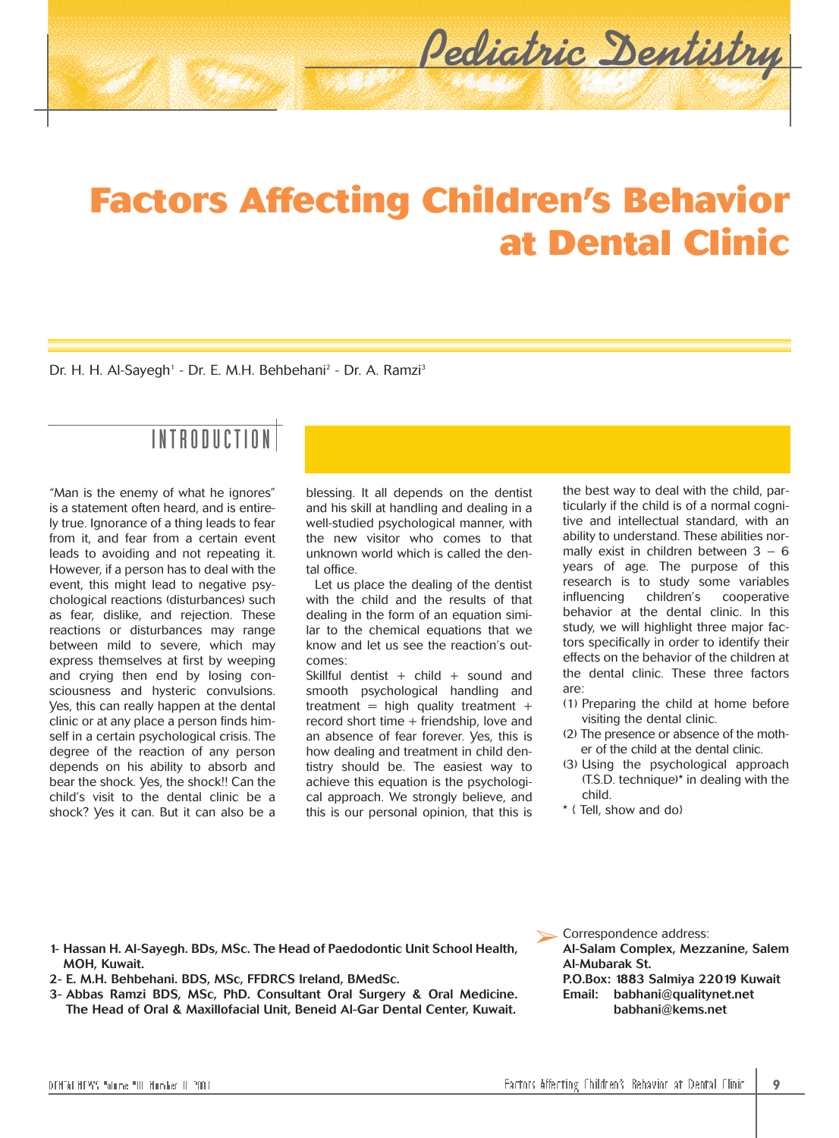# **Factors Affecting Children's Behavior at Dental Clinic**

Dr. H. H. Al-Sayegh<sup>1</sup> - Dr. E. M.H. Behbehani<sup>2</sup> - Dr. A. Ramzi<sup>3</sup>

## INTRODUCTION

"Man is the enemy of what he ignores" is a statement often heard, and is entirely true. Ignorance of a thing leads to fear from it, and fear from a certain event leads to avoiding and not repeating it. However, if a person has to deal with the event, this might lead to negative psychological reactions (disturbances) such as fear, dislike, and rejection. These reactions or disturbances may range between mild to severe, which may express themselves at first by weeping and crying then end by losing consciousness and hysteric convulsions. Yes, this can really happen at the dental clinic or at any place a person finds himself in a certain psychological crisis. The degree of the reaction of any person depends on his ability to absorb and bear the shock. Yes, the shock!! Can the child's visit to the dental clinic be a shock? Yes it can. But it can also be a

blessing. It all depends on the dentist and his skill at handling and dealing in a well-studied psychological manner, with the new visitor who comes to that unknown world which is called the dental office.

Let us place the dealing of the dentist with the child and the results of that dealing in the form of an equation similar to the chemical equations that we know and let us see the reaction's outcomes:

Skillful dentist + child + sound and smooth psychological handling and treatment = high quality treatment + record short time + friendship, love and an absence of fear forever. Yes, this is how dealing and treatment in child dentistry should be. The easiest way to achieve this equation is the psychological approach. We strongly believe, and this is our personal opinion, that this is

the best way to deal with the child, particularly if the child is of a normal cognitive and intellectual standard, with an ability to understand. These abilities normally exist in children between  $3 - 6$ years of age. The purpose of this research is to study some variables influencing children's cooperative behavior at the dental clinic. In this study, we will highlight three major factors specifically in order to identify their effects on the behavior of the children at the dental clinic. These three factors are:

- (1) Preparing the child at home before visiting the dental clinic.
- (2) The presence or absence of the mother of the child at the dental clinic.
- (3) Using the psychological approach (T.S.D. technique)\* in dealing with the child.
- \* { Tell, show and do}

*Pediatric Dentistry*

**1- Hassan H. Al-Sayegh. BDs, MSc. The Head of Paedodontic Unit School Health, MOH, Kuwait.**

- **2- E. M.H. Behbehani. BDS, MSc, FFDRCS Ireland, BMedSc.**
- **3- Abbas Ramzi BDS, MSc, PhD. Consultant Oral Surgery & Oral Medicine. The Head of Oral & Maxillofacial Unit, Beneid Al-Gar Dental Center, Kuwait.**

Correspondence address: ➢ **Al-Salam Complex, Mezzanine, Salem Al-Mubarak St. P.O.Box: 1883 Salmiya 22019 Kuwait Email: babhani@qualitynet.net babhani@kems.net**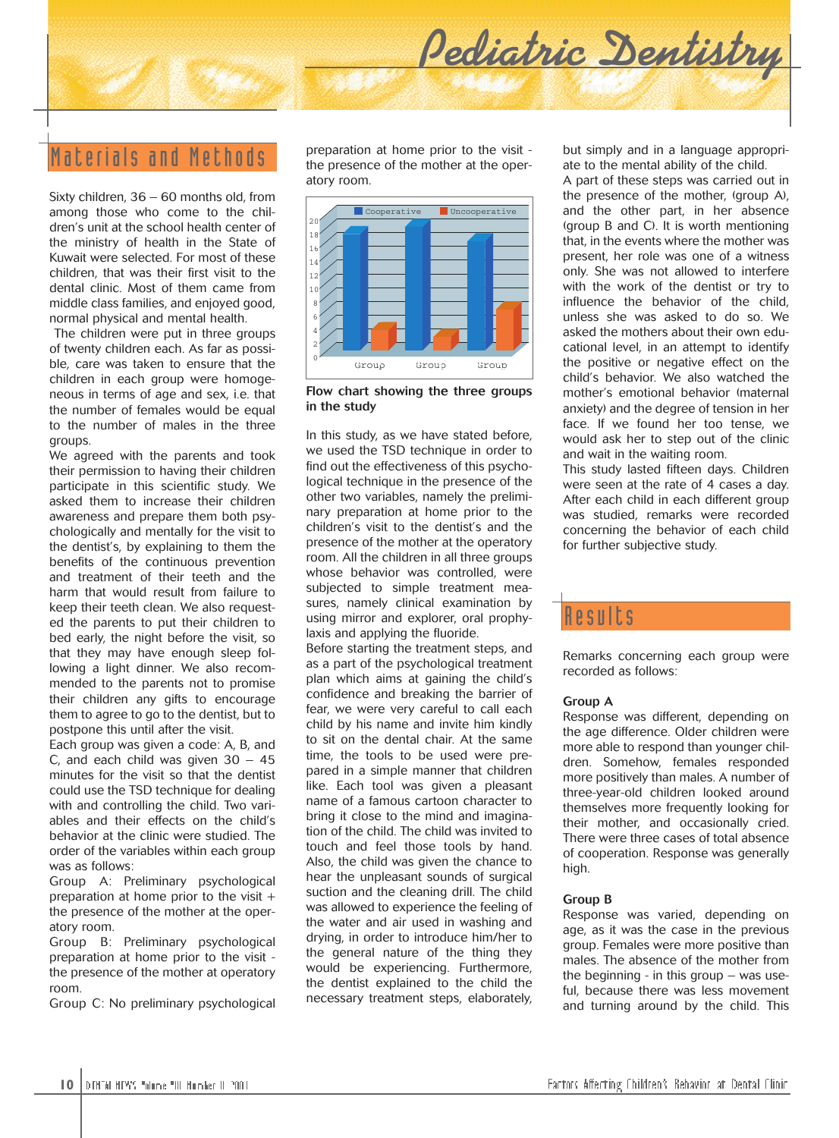

## laterials and Methods

Sixty children, 36 – 60 months old, from among those who come to the children's unit at the school health center of the ministry of health in the State of Kuwait were selected. For most of these children, that was their first visit to the dental clinic. Most of them came from middle class families, and enjoyed good, normal physical and mental health.

The children were put in three groups of twenty children each. As far as possible, care was taken to ensure that the children in each group were homogeneous in terms of age and sex, i.e. that the number of females would be equal to the number of males in the three groups.

We agreed with the parents and took their permission to having their children participate in this scientific study. We asked them to increase their children awareness and prepare them both psychologically and mentally for the visit to the dentist's, by explaining to them the benefits of the continuous prevention and treatment of their teeth and the harm that would result from failure to keep their teeth clean. We also requested the parents to put their children to bed early, the night before the visit, so that they may have enough sleep following a light dinner. We also recommended to the parents not to promise their children any gifts to encourage them to agree to go to the dentist, but to postpone this until after the visit.

Each group was given a code: A, B, and C, and each child was given  $30 - 45$ minutes for the visit so that the dentist could use the TSD technique for dealing with and controlling the child. Two variables and their effects on the child's behavior at the clinic were studied. The order of the variables within each group was as follows:

Group A: Preliminary psychological preparation at home prior to the visit + the presence of the mother at the operatory room.

Group B: Preliminary psychological preparation at home prior to the visit the presence of the mother at operatory room.

Group C: No preliminary psychological

preparation at home prior to the visit the presence of the mother at the operatory room.



**Flow chart showing the three groups in the study**

In this study, as we have stated before, we used the TSD technique in order to find out the effectiveness of this psychological technique in the presence of the other two variables, namely the preliminary preparation at home prior to the children's visit to the dentist's and the presence of the mother at the operatory room. All the children in all three groups whose behavior was controlled, were subjected to simple treatment measures, namely clinical examination by using mirror and explorer, oral prophylaxis and applying the fluoride.

Before starting the treatment steps, and as a part of the psychological treatment plan which aims at gaining the child's confidence and breaking the barrier of fear, we were very careful to call each child by his name and invite him kindly to sit on the dental chair. At the same time, the tools to be used were prepared in a simple manner that children like. Each tool was given a pleasant name of a famous cartoon character to bring it close to the mind and imagination of the child. The child was invited to touch and feel those tools by hand. Also, the child was given the chance to hear the unpleasant sounds of surgical suction and the cleaning drill. The child was allowed to experience the feeling of the water and air used in washing and drying, in order to introduce him/her to the general nature of the thing they would be experiencing. Furthermore, the dentist explained to the child the necessary treatment steps, elaborately,

but simply and in a language appropriate to the mental ability of the child.

A part of these steps was carried out in the presence of the mother, (group A), and the other part, in her absence (group B and C). It is worth mentioning that, in the events where the mother was present, her role was one of a witness only. She was not allowed to interfere with the work of the dentist or try to influence the behavior of the child, unless she was asked to do so. We asked the mothers about their own educational level, in an attempt to identify the positive or negative effect on the child's behavior. We also watched the mother's emotional behavior (maternal anxiety) and the degree of tension in her face. If we found her too tense, we would ask her to step out of the clinic and wait in the waiting room.

This study lasted fifteen days. Children were seen at the rate of 4 cases a day. After each child in each different group was studied, remarks were recorded concerning the behavior of each child for further subjective study.

## Results

Remarks concerning each group were recorded as follows:

#### **Group A**

Response was different, depending on the age difference. Older children were more able to respond than younger children. Somehow, females responded more positively than males. A number of three-year-old children looked around themselves more frequently looking for their mother, and occasionally cried. There were three cases of total absence of cooperation. Response was generally high.

#### **Group B**

Response was varied, depending on age, as it was the case in the previous group. Females were more positive than males. The absence of the mother from the beginning - in this group – was useful, because there was less movement and turning around by the child. This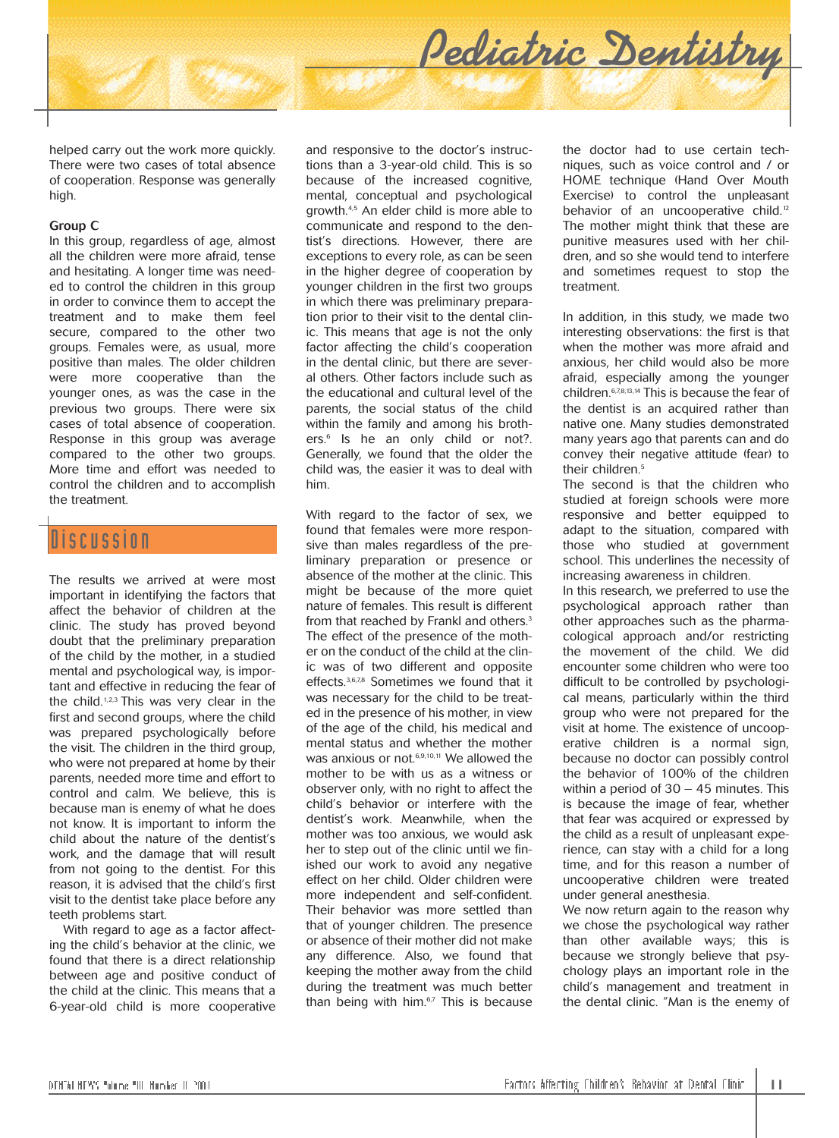

helped carry out the work more quickly. There were two cases of total absence of cooperation. Response was generally high.

#### **Group C**

In this group, regardless of age, almost all the children were more afraid, tense and hesitating. A longer time was needed to control the children in this group in order to convince them to accept the treatment and to make them feel secure, compared to the other two groups. Females were, as usual, more positive than males. The older children were more cooperative than the younger ones, as was the case in the previous two groups. There were six cases of total absence of cooperation. Response in this group was average compared to the other two groups. More time and effort was needed to control the children and to accomplish the treatment.

### Discussion

The results we arrived at were most important in identifying the factors that affect the behavior of children at the clinic. The study has proved beyond doubt that the preliminary preparation of the child by the mother, in a studied mental and psychological way, is important and effective in reducing the fear of the child.<sup>1,2,3</sup> This was very clear in the first and second groups, where the child was prepared psychologically before the visit. The children in the third group, who were not prepared at home by their parents, needed more time and effort to control and calm. We believe, this is because man is enemy of what he does not know. It is important to inform the child about the nature of the dentist's work, and the damage that will result from not going to the dentist. For this reason, it is advised that the child's first visit to the dentist take place before any teeth problems start.

With regard to age as a factor affecting the child's behavior at the clinic, we found that there is a direct relationship between age and positive conduct of the child at the clinic. This means that a 6-year-old child is more cooperative

and responsive to the doctor's instructions than a 3-year-old child. This is so because of the increased cognitive, mental, conceptual and psychological growth.4,5 An elder child is more able to communicate and respond to the dentist's directions. However, there are exceptions to every role, as can be seen in the higher degree of cooperation by younger children in the first two groups in which there was preliminary preparation prior to their visit to the dental clinic. This means that age is not the only factor affecting the child's cooperation in the dental clinic, but there are several others. Other factors include such as the educational and cultural level of the parents, the social status of the child within the family and among his brothers.<sup>6</sup> Is he an only child or not?. Generally, we found that the older the child was, the easier it was to deal with him.

With regard to the factor of sex, we found that females were more responsive than males regardless of the preliminary preparation or presence or absence of the mother at the clinic. This might be because of the more quiet nature of females. This result is different from that reached by Frankl and others.<sup>3</sup> The effect of the presence of the mother on the conduct of the child at the clinic was of two different and opposite effects.<sup>3,6,7,8</sup> Sometimes we found that it was necessary for the child to be treated in the presence of his mother, in view of the age of the child, his medical and mental status and whether the mother was anxious or not.<sup>6,9,10,11</sup> We allowed the mother to be with us as a witness or observer only, with no right to affect the child's behavior or interfere with the dentist's work. Meanwhile, when the mother was too anxious, we would ask her to step out of the clinic until we finished our work to avoid any negative effect on her child. Older children were more independent and self-confident. Their behavior was more settled than that of younger children. The presence or absence of their mother did not make any difference. Also, we found that keeping the mother away from the child during the treatment was much better than being with him.<sup>6,7</sup> This is because

the doctor had to use certain techniques, such as voice control and / or HOME technique (Hand Over Mouth Exercise) to control the unpleasant behavior of an uncooperative child.<sup>12</sup> The mother might think that these are punitive measures used with her children, and so she would tend to interfere and sometimes request to stop the treatment.

In addition, in this study, we made two interesting observations: the first is that when the mother was more afraid and anxious, her child would also be more afraid, especially among the younger children.6,7,8,13,14 This is because the fear of the dentist is an acquired rather than native one. Many studies demonstrated many years ago that parents can and do convey their negative attitude (fear) to their children.<sup>5</sup>

The second is that the children who studied at foreign schools were more responsive and better equipped to adapt to the situation, compared with those who studied at government school. This underlines the necessity of increasing awareness in children.

In this research, we preferred to use the psychological approach rather than other approaches such as the pharmacological approach and/or restricting the movement of the child. We did encounter some children who were too difficult to be controlled by psychological means, particularly within the third group who were not prepared for the visit at home. The existence of uncooperative children is a normal sign, because no doctor can possibly control the behavior of 100% of the children within a period of 30 – 45 minutes. This is because the image of fear, whether that fear was acquired or expressed by the child as a result of unpleasant experience, can stay with a child for a long time, and for this reason a number of uncooperative children were treated under general anesthesia.

We now return again to the reason why we chose the psychological way rather than other available ways; this is because we strongly believe that psychology plays an important role in the child's management and treatment in the dental clinic. "Man is the enemy of